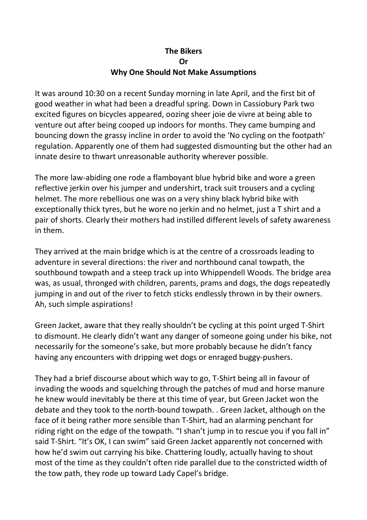## **The Bikers Or Why One Should Not Make Assumptions**

It was around 10:30 on a recent Sunday morning in late April, and the first bit of good weather in what had been a dreadful spring. Down in Cassiobury Park two excited figures on bicycles appeared, oozing sheer joie de vivre at being able to venture out after being cooped up indoors for months. They came bumping and bouncing down the grassy incline in order to avoid the 'No cycling on the footpath' regulation. Apparently one of them had suggested dismounting but the other had an innate desire to thwart unreasonable authority wherever possible.

The more law-abiding one rode a flamboyant blue hybrid bike and wore a green reflective jerkin over his jumper and undershirt, track suit trousers and a cycling helmet. The more rebellious one was on a very shiny black hybrid bike with exceptionally thick tyres, but he wore no jerkin and no helmet, just a T shirt and a pair of shorts. Clearly their mothers had instilled different levels of safety awareness in them.

They arrived at the main bridge which is at the centre of a crossroads leading to adventure in several directions: the river and northbound canal towpath, the southbound towpath and a steep track up into Whippendell Woods. The bridge area was, as usual, thronged with children, parents, prams and dogs, the dogs repeatedly jumping in and out of the river to fetch sticks endlessly thrown in by their owners. Ah, such simple aspirations!

Green Jacket, aware that they really shouldn't be cycling at this point urged T-Shirt to dismount. He clearly didn't want any danger of someone going under his bike, not necessarily for the someone's sake, but more probably because he didn't fancy having any encounters with dripping wet dogs or enraged buggy-pushers.

They had a brief discourse about which way to go, T-Shirt being all in favour of invading the woods and squelching through the patches of mud and horse manure he knew would inevitably be there at this time of year, but Green Jacket won the debate and they took to the north-bound towpath. . Green Jacket, although on the face of it being rather more sensible than T-Shirt, had an alarming penchant for riding right on the edge of the towpath. "I shan't jump in to rescue you if you fall in" said T-Shirt. "It's OK, I can swim" said Green Jacket apparently not concerned with how he'd swim out carrying his bike. Chattering loudly, actually having to shout most of the time as they couldn't often ride parallel due to the constricted width of the tow path, they rode up toward Lady Capel's bridge.